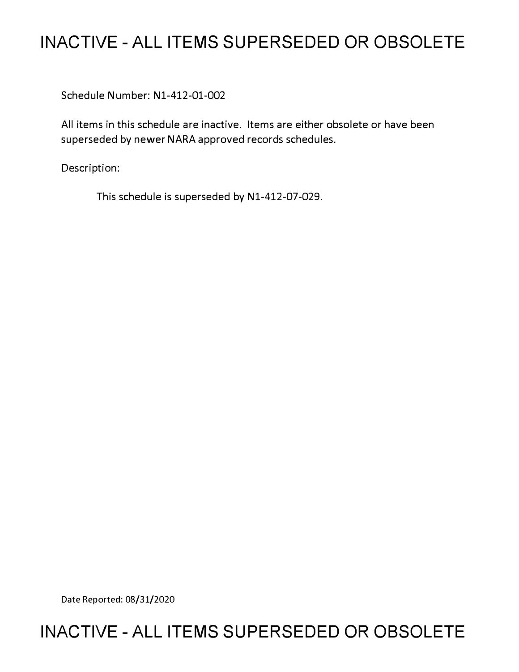# **INACTIVE - ALL ITEMS SUPERSEDED OR OBSOLETE**

Schedule Number: Nl-412-01-002

All items in this schedule are inactive. Items are either obsolete or have been superseded by newer NARA approved records schedules.

Description:

This schedule is superseded by N1-412-07-029.

Date Reported: 08/31/2020

## **INACTIVE - ALL ITEMS SUPERSEDED OR OBSOLETE**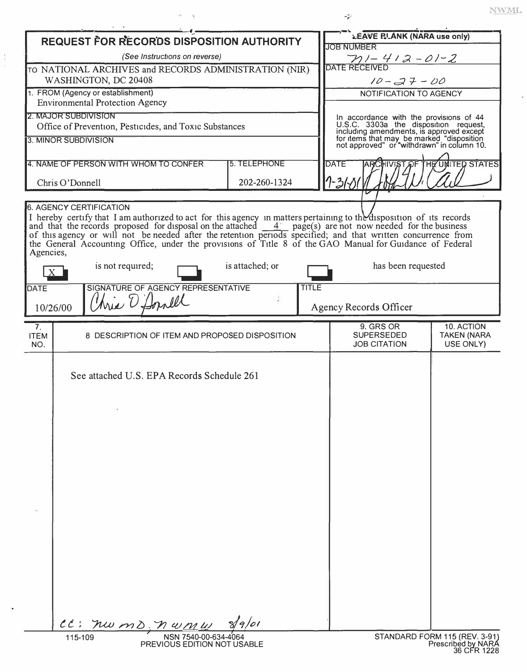| REQUEST FOR RECORDS DISPOSITION AUTHORITY                                              |                                                                                                                                                                                                                                                     |                     |              | LEAVE RLANK (NARA use only)                                                                                                  |                                                                    |  |
|----------------------------------------------------------------------------------------|-----------------------------------------------------------------------------------------------------------------------------------------------------------------------------------------------------------------------------------------------------|---------------------|--------------|------------------------------------------------------------------------------------------------------------------------------|--------------------------------------------------------------------|--|
|                                                                                        |                                                                                                                                                                                                                                                     |                     |              | <b>JOB NUMBER</b>                                                                                                            |                                                                    |  |
| (See Instructions on reverse)<br>TO NATIONAL ARCHIVES and RECORDS ADMINISTRATION (NIR) |                                                                                                                                                                                                                                                     |                     |              | $711 - 412 - 01 - 2$<br>DATE RECEIVED                                                                                        |                                                                    |  |
| WASHINGTON, DC 20408                                                                   |                                                                                                                                                                                                                                                     |                     |              | $10 - 37 - 00$                                                                                                               |                                                                    |  |
|                                                                                        | 1. FROM (Agency or establishment)                                                                                                                                                                                                                   |                     |              | NOTIFICATION TO AGENCY                                                                                                       |                                                                    |  |
|                                                                                        | <b>Environmental Protection Agency</b><br>2. MAJOR SUBDIVISION                                                                                                                                                                                      |                     |              |                                                                                                                              |                                                                    |  |
|                                                                                        | Office of Prevention, Pesticides, and Toxic Substances                                                                                                                                                                                              |                     |              | In accordance with the provisions of 44<br>U.S.C. 3303a the disposition request,<br>including amendments, is approved except |                                                                    |  |
|                                                                                        | <b>3. MINOR SUBDIVISION</b>                                                                                                                                                                                                                         |                     |              | for items that may be marked "disposition<br>not approved" or "withdrawn" in column 10.                                      |                                                                    |  |
|                                                                                        |                                                                                                                                                                                                                                                     |                     |              |                                                                                                                              |                                                                    |  |
|                                                                                        | 4. NAME OF PERSON WITH WHOM TO CONFER                                                                                                                                                                                                               | <b>5. TELEPHONE</b> |              | <b>DATE</b>                                                                                                                  | <b>IST OF THE UNITED STATES</b>                                    |  |
|                                                                                        | Chris O'Donnell                                                                                                                                                                                                                                     | 202-260-1324        |              | I-31-L                                                                                                                       |                                                                    |  |
|                                                                                        |                                                                                                                                                                                                                                                     |                     |              |                                                                                                                              |                                                                    |  |
|                                                                                        | <b>6. AGENCY CERTIFICATION</b>                                                                                                                                                                                                                      |                     |              |                                                                                                                              |                                                                    |  |
|                                                                                        | I hereby certify that I am authorized to act for this agency in matters pertaining to the disposition of its records<br>and that the records proposed for disposal on the attached $\frac{4}{\sqrt{2}}$ page(s) are not now needed for the business |                     |              |                                                                                                                              |                                                                    |  |
|                                                                                        | of this agency or will not be needed after the retention periods specified; and that written concurrence from<br>the General Accounting Office, under the provisions of Title 8 of the GAO Manual for Guidance of Federal                           |                     |              |                                                                                                                              |                                                                    |  |
| Agencies,                                                                              |                                                                                                                                                                                                                                                     |                     |              |                                                                                                                              |                                                                    |  |
| X                                                                                      | is not required;                                                                                                                                                                                                                                    | is attached; or     |              | has been requested                                                                                                           |                                                                    |  |
| DATE                                                                                   | SIGNATURE OF AGENCY REPRESENTATIVE                                                                                                                                                                                                                  |                     | <b>TITLE</b> |                                                                                                                              |                                                                    |  |
| 10/26/00                                                                               | Wie O'Donell                                                                                                                                                                                                                                        |                     |              | Agency Records Officer                                                                                                       |                                                                    |  |
| 7.                                                                                     |                                                                                                                                                                                                                                                     |                     |              | 9. GRS OR                                                                                                                    | 10. ACTION                                                         |  |
| <b>ITEM</b><br>NO.                                                                     | 8 DESCRIPTION OF ITEM AND PROPOSED DISPOSITION                                                                                                                                                                                                      |                     |              | <b>SUPERSEDED</b><br><b>JOB CITATION</b>                                                                                     | <b>TAKEN (NARA</b><br>USE ONLY)                                    |  |
|                                                                                        |                                                                                                                                                                                                                                                     |                     |              |                                                                                                                              |                                                                    |  |
|                                                                                        | See attached U.S. EPA Records Schedule 261                                                                                                                                                                                                          |                     |              |                                                                                                                              |                                                                    |  |
|                                                                                        |                                                                                                                                                                                                                                                     |                     |              |                                                                                                                              |                                                                    |  |
|                                                                                        |                                                                                                                                                                                                                                                     |                     |              |                                                                                                                              |                                                                    |  |
|                                                                                        |                                                                                                                                                                                                                                                     |                     |              |                                                                                                                              |                                                                    |  |
|                                                                                        |                                                                                                                                                                                                                                                     |                     |              |                                                                                                                              |                                                                    |  |
|                                                                                        |                                                                                                                                                                                                                                                     |                     |              |                                                                                                                              |                                                                    |  |
|                                                                                        |                                                                                                                                                                                                                                                     |                     |              |                                                                                                                              |                                                                    |  |
|                                                                                        |                                                                                                                                                                                                                                                     |                     |              |                                                                                                                              |                                                                    |  |
|                                                                                        |                                                                                                                                                                                                                                                     |                     |              |                                                                                                                              |                                                                    |  |
|                                                                                        |                                                                                                                                                                                                                                                     |                     |              |                                                                                                                              |                                                                    |  |
|                                                                                        |                                                                                                                                                                                                                                                     |                     |              |                                                                                                                              |                                                                    |  |
|                                                                                        |                                                                                                                                                                                                                                                     |                     |              |                                                                                                                              |                                                                    |  |
|                                                                                        |                                                                                                                                                                                                                                                     |                     |              |                                                                                                                              |                                                                    |  |
|                                                                                        |                                                                                                                                                                                                                                                     |                     |              |                                                                                                                              |                                                                    |  |
|                                                                                        |                                                                                                                                                                                                                                                     |                     |              |                                                                                                                              |                                                                    |  |
|                                                                                        |                                                                                                                                                                                                                                                     |                     |              |                                                                                                                              |                                                                    |  |
|                                                                                        |                                                                                                                                                                                                                                                     |                     |              |                                                                                                                              |                                                                    |  |
|                                                                                        |                                                                                                                                                                                                                                                     |                     |              |                                                                                                                              |                                                                    |  |
|                                                                                        | CC: nwmD, nwmw                                                                                                                                                                                                                                      | $s/q$ /or           |              |                                                                                                                              |                                                                    |  |
|                                                                                        | 115-109<br>NSN 7540-00-634-4064<br>PREVIOUS EDITION NOT USABLE                                                                                                                                                                                      |                     |              |                                                                                                                              | STANDARD FORM 115 (REV. 3-91)<br>Prescribed by NARA<br>36 CFR 1228 |  |

 $\frac{1}{2}$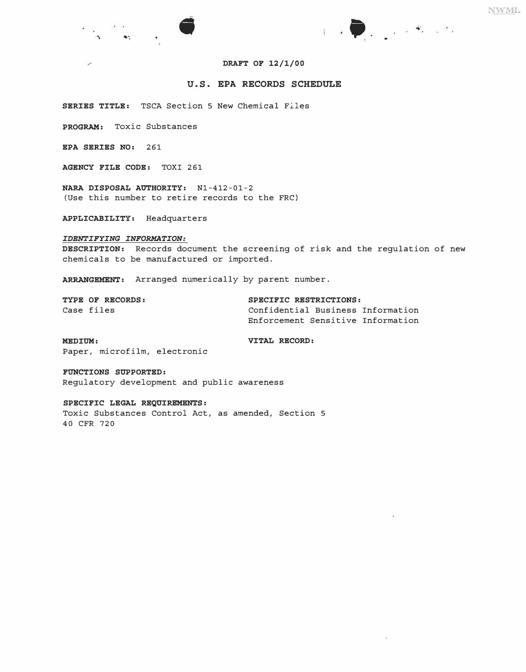

## **DRAFT OF 12/1/00**

## **U.S. EPA RECORDS SCHEDULE**

SERIES TITLE: TSCA Section 5 New Chemical Files

**PROGRAM:** Toxic Substances

**EPA SERIES NO:** 261

 $\mathcal{L}$ 

**AGENCY FILE CODE:** TOXI 261

**NARA DISPOSAL AUTHORITY:** Nl-412-01-2 (Use this number to retire records to the FRC)

**APPLICABILITY:** Headquarters

### *IDENTIFYING INFORMATION:*

**DESCRIPTION:** Records document the screening of risk and the regulation of new chemicals to be manufactured or imported.

**ARRANGEMENT:** Arranged numerically by parent number.

| TYPE OF RECORDS: | SPECIFIC RESTRICTIONS:            |  |  |
|------------------|-----------------------------------|--|--|
| Case files       | Confidential Business Information |  |  |
|                  | Enforcement Sensitive Information |  |  |

**MEDIUM:**  Paper, microfilm, electronic **VITAL RECORD:** 

**FUN�TIONS SUPPORTED:** 

Regulatory development and public awareness

## **SPECIFIC LEGAL REQUIREMENTS:**

Toxic Substances Control Act, as amended, Section 5 40 CFR 720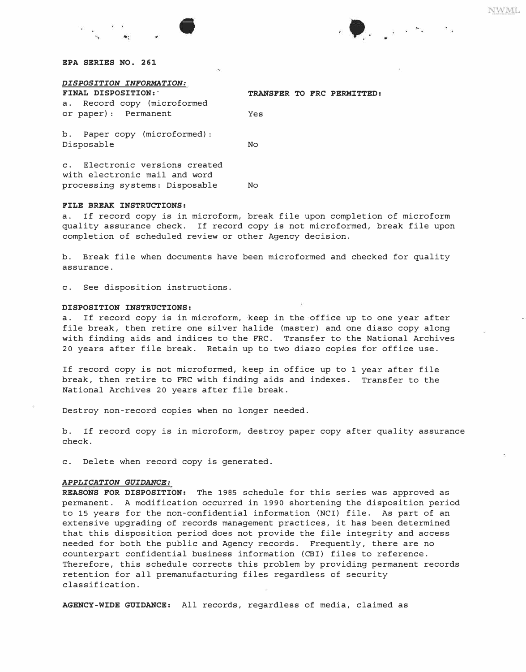$\frac{1}{2}$  and  $\frac{1}{2}$  are  $\frac{1}{2}$  and  $\frac{1}{2}$  and  $\frac{1}{2}$  and  $\frac{1}{2}$ 

## *EPA SERIES NO. 261*

| DISPOSITION INFORMATION:                                        |                            |  |  |  |  |
|-----------------------------------------------------------------|----------------------------|--|--|--|--|
| FINAL DISPOSITION:                                              | TRANSFER TO FRC PERMITTED: |  |  |  |  |
| a. Record copy (microformed                                     |                            |  |  |  |  |
| or paper): Permanent                                            | Yes                        |  |  |  |  |
| b. Paper copy (microformed):<br>Disposable                      | No                         |  |  |  |  |
| c. Electronic versions created<br>with electronic mail and word |                            |  |  |  |  |

#### *FILE BREAK INSTRUCTIONS:*

a. If record copy is in microform, break file upon completion of microform quality assurance check. If record copy is not microformed, break file upon completion of scheduled review or other Agency decision.

b. Break file when documents have been microformed and checked for quality assurance.

c. See disposition instructions.

processing systems: Disposable No

#### *DISPOSITION INSTRUCTIONS:*

a. If record copy is in microform, keep in the office up to one year after file break, then retire one silver halide (master) and one diazo copy along with finding aids and indices to the FRC. Transfer to the National Archives 20 years after file break. Retain up to two diazo copies for office use.

If record copy is not microformed, keep in office up to 1 year after file break, then retire to FRC with finding aids and indexes. Transfer to the National Archives 20 years after file break.

Destroy non-record copies when no longer needed.

b. If record copy is in microform, destroy paper copy after quality assurance check.

c. Delete when record copy is generated.

#### *APPLICATION GUIDANCE:*

*REASONS FOR DISPOSITION:* The 1985 schedule for this series was approved as permanent. A modification occurred in 1990 shortening the disposition period to 15 years for the non-confidential information (NCI) file. As part of an extensive upgrading of records management practices, it has been determined that this disposition period does not provide the file integrity and access needed for both the public and Agency records. Frequently, there are no counterpart confidential business information (CBI) files to reference. Therefore, this schedule corrects this problem by providing permanent records retention for all premanufacturing files regardless of security classification.

*AGENCY-WIDE GUIDANCE:* All records, regardless of media, claimed as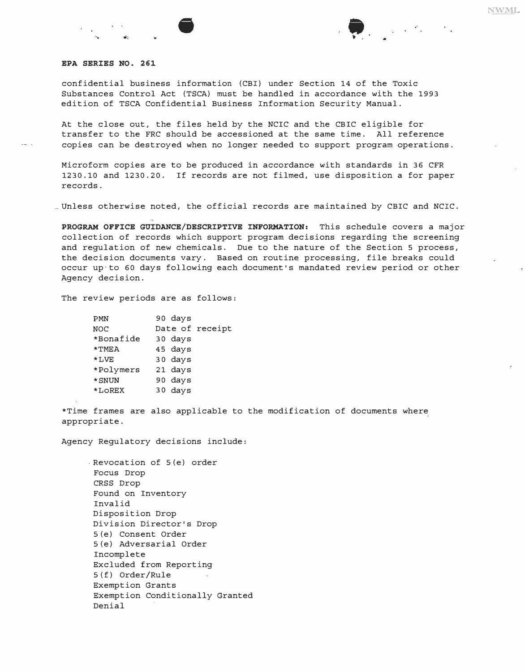confidential business information (CBI) under Section 14 of the Toxic Substances Control Act (TSCA) must be handled in accordance with the 1993 edition of TSCA Confidential Business Information Security Manual.

At the close out, the files held by the NCIC and the CBIC eligible for transfer to the FRC should be accessioned at the same time. All reference copies can be destroyed when no longer needed to support program operations.

Microform copies are to be produced in accordance with standards in 36 CFR 1230.10 and 1230.20. If records are not filmed, use disposition a for paper records.

\_\_ Unless otherwise noted, the official records are maintained by CBIC and NCIC.

*PROGRAM OFFICE GUIDANCE/DESCRIPTIVE INFORMATION:* This schedule covers a major collection of records which support program decisions regarding the screening and regulation of new chemicals. Due to the nature of the Section 5 process, the decision documents vary. Based on routine processing, file breaks could occur up·to 60 days following each document's mandated review period or other Agency decision.

The review periods are as follows:

| <b>PMN</b> | 90 days         |
|------------|-----------------|
| <b>NOC</b> | Date of receipt |
| *Bonafide  | 30 days         |
| $*$ TMEA   | 45 days         |
| $*LVE$     | 30 days         |
| *Polymers  | 21 days         |
| * SNUN     | 90 days         |
| *LOREX     | 30 days         |
|            |                 |

\*Time frames are also applicable to the modification of documents where appropriate.

Agency Regulatory decisions include:

, Revocation of S(e) order Focus Drop CRSS Drop Found on Inventory Invalid Disposition Drop Division Director's Drop S (e) Consent Order S (e) Adversarial Order Incomplete Excluded from Reporting S (f) Order/Rule Exemption Grants Exemption Conditionally Granted Denial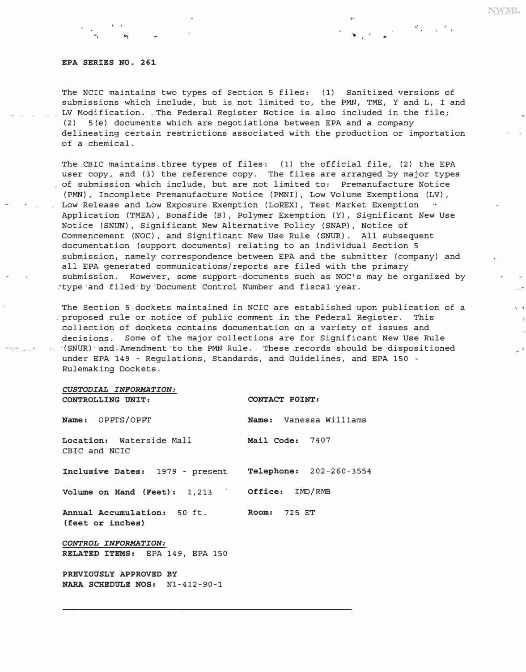#### *EPA SERIES NO. 261*

•,

T*h*e NCIC maintains two types of Section 5 files: (1) Sanitized versions of submissions w*h*ic*h* include, but is not limited to, t*h*e PMN, TME, Y and L, I and LV Modification .. T*h*e\_ Federal.Register Notice is\_ also included in t*h*e file; (2) 5 (e) documents w*h*ic*h* are negotiations between EPA and a company delineating certain restrictions associated wit*h* t*h*e production or importation of a c*h*emical.

T*h*e.CBIC maintains.t*h*ree types of files: (1) t*h*e official file, (2) t*h*e EPA user copy, and (3) t*h*e reference copy. T*h*e files are arranged by major types of submission w*h*ic*h* include, but are not limited to: Premanufacture Notice (PMN) , Incomplete Premanufacture Notice (PMNI) , Low Volume Exemptions (LV) , Low Release and Low Exposure.Exemption (LoREX) , Test-Market Exemption Application (TMEA) , Bonafide (B) , Polymer Exemption (Y), Significant New Use Notice (SNUN) , Significant New Alternative Policy (SNAP) , Notice of Commencement (NOC) , and Significant New Use Rule (SNUR) . All subsequent documentation (support documents) relating to an individual Section 5 submission, namely correspondence between EPA and t*h*e submitter (company) and all EPA generated communications/reports are filed wit*h* t*h*e primary submission. However, some-support--documents suc*h* as NOC's may be organized by .~type ·and filed' by ·Document Control Number and fiscal ·year.

T*h*e Section 5 dockets maintained in NCIC are establis*h*ed upon publication of a :·proposed rule or.notice of public comment .in t*h*e· Federal Register. T*h*is collection of dockets contains documentation on a variety of issues and decisions. Some of t*h*e major collections are for Significant New Use Rule · (SNUR) ··and-·Amendment·to t*h*e PMN Rule. T*h*ese .records ·s*h*ould be ·dispositioned under EPA 149 - Regulations, Standards, and Guidelines, and EPA 150 -Rulemaking Dockets.

### *CUSTODIAL INFORMATION: CONTROLLING UNIT: CONTACT POINT:*

 $\begin{array}{l} \mbox{or} \;\; \mbox{if} \; \mbox{if} \; \mbox{if} \; \mbox{if} \; \mbox{if} \; \mbox{if} \; \mbox{if} \; \mbox{if} \; \mbox{if} \; \mbox{if} \; \mbox{if} \; \mbox{if} \; \mbox{if} \; \mbox{if} \; \mbox{if} \; \mbox{if} \; \mbox{if} \; \mbox{if} \; \mbox{if} \; \mbox{if} \; \mbox{if} \; \mbox{if} \; \mbox{if} \; \mbox{if} \; \mbox{if} \; \mbox{$ 

| Name: OPPTS/OPPT                                                 | Name: Vanessa Williams |
|------------------------------------------------------------------|------------------------|
| Location: Waterside Mall <b>Mail Code:</b> 7407<br>CBIC and NCIC |                        |
| Inclusive Dates: 1979 - present Telephone: 202-260-3554          |                        |
| Volume on Hand (Feet): 1,213 Office: IMD/RMB                     |                        |
| Annual Accumulation: 50 ft. Room: 725 ET<br>(feet or inches)     |                        |
| CONTROL INFORMATION:                                             |                        |
| RELATED ITEMS: EPA 149, EPA 150                                  |                        |
| PREVIOUSLY APPROVED BY<br>NARA SCHEDULE NOS: N1-412-90-1         |                        |

**NWML** 

 $\chi \sim \delta T$  $\mathcal{I}_2$ 

 $\label{eq:zeta} \zeta = \frac{2\pi}{\pi} \zeta - \kappa^{-1} \zeta$